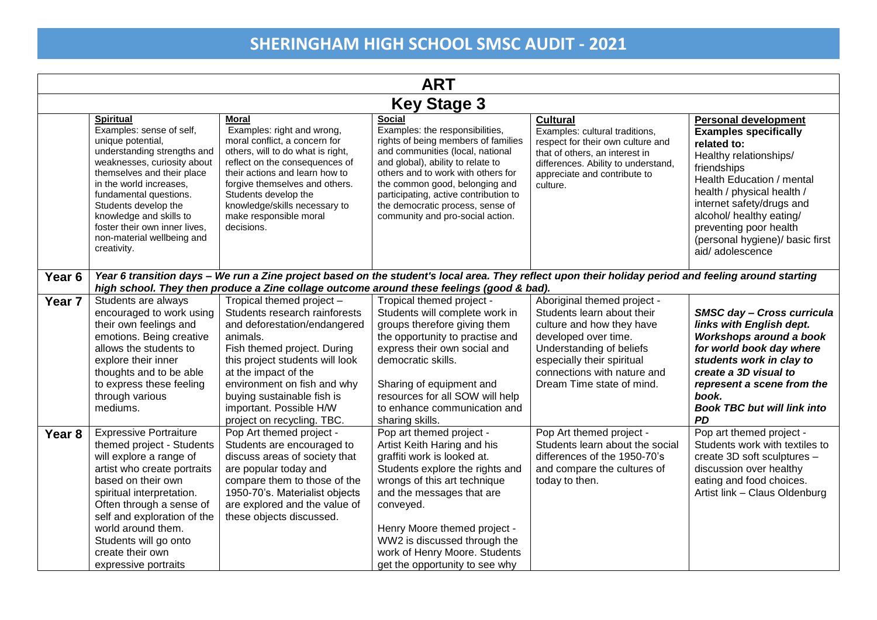| <b>ART</b>        |                                                                                                                                                                                                                                                                                                                                                     |                                                                                                                                                                                                                                                                                                                         |                                                                                                                                                                                                                                                                                                                                                           |                                                                                                                                                                                                                                      |                                                                                                                                                                                                                                                                                                                         |  |
|-------------------|-----------------------------------------------------------------------------------------------------------------------------------------------------------------------------------------------------------------------------------------------------------------------------------------------------------------------------------------------------|-------------------------------------------------------------------------------------------------------------------------------------------------------------------------------------------------------------------------------------------------------------------------------------------------------------------------|-----------------------------------------------------------------------------------------------------------------------------------------------------------------------------------------------------------------------------------------------------------------------------------------------------------------------------------------------------------|--------------------------------------------------------------------------------------------------------------------------------------------------------------------------------------------------------------------------------------|-------------------------------------------------------------------------------------------------------------------------------------------------------------------------------------------------------------------------------------------------------------------------------------------------------------------------|--|
|                   | <b>Key Stage 3</b>                                                                                                                                                                                                                                                                                                                                  |                                                                                                                                                                                                                                                                                                                         |                                                                                                                                                                                                                                                                                                                                                           |                                                                                                                                                                                                                                      |                                                                                                                                                                                                                                                                                                                         |  |
|                   | <b>Spiritual</b><br>Examples: sense of self,<br>unique potential,<br>understanding strengths and<br>weaknesses, curiosity about<br>themselves and their place<br>in the world increases,<br>fundamental questions.<br>Students develop the<br>knowledge and skills to<br>foster their own inner lives,<br>non-material wellbeing and<br>creativity. | <b>Moral</b><br>Examples: right and wrong,<br>moral conflict, a concern for<br>others, will to do what is right,<br>reflect on the consequences of<br>their actions and learn how to<br>forgive themselves and others.<br>Students develop the<br>knowledge/skills necessary to<br>make responsible moral<br>decisions. | <b>Social</b><br>Examples: the responsibilities,<br>rights of being members of families<br>and communities (local, national<br>and global), ability to relate to<br>others and to work with others for<br>the common good, belonging and<br>participating, active contribution to<br>the democratic process, sense of<br>community and pro-social action. | <b>Cultural</b><br>Examples: cultural traditions,<br>respect for their own culture and<br>that of others, an interest in<br>differences. Ability to understand,<br>appreciate and contribute to<br>culture.                          | <b>Personal development</b><br><b>Examples specifically</b><br>related to:<br>Healthy relationships/<br>friendships<br>Health Education / mental<br>health / physical health /<br>internet safety/drugs and<br>alcohol/ healthy eating/<br>preventing poor health<br>(personal hygiene)/ basic first<br>aid/adolescence |  |
| Year 6            | Year 6 transition days - We run a Zine project based on the student's local area. They reflect upon their holiday period and feeling around starting<br>high school. They then produce a Zine collage outcome around these feelings (good & bad).                                                                                                   |                                                                                                                                                                                                                                                                                                                         |                                                                                                                                                                                                                                                                                                                                                           |                                                                                                                                                                                                                                      |                                                                                                                                                                                                                                                                                                                         |  |
| Year <sub>7</sub> | Students are always<br>encouraged to work using<br>their own feelings and<br>emotions. Being creative<br>allows the students to<br>explore their inner<br>thoughts and to be able<br>to express these feeling<br>through various<br>mediums.                                                                                                        | Tropical themed project -<br>Students research rainforests<br>and deforestation/endangered<br>animals.<br>Fish themed project. During<br>this project students will look<br>at the impact of the<br>environment on fish and why<br>buying sustainable fish is<br>important. Possible H/W<br>project on recycling. TBC.  | Tropical themed project -<br>Students will complete work in<br>groups therefore giving them<br>the opportunity to practise and<br>express their own social and<br>democratic skills.<br>Sharing of equipment and<br>resources for all SOW will help<br>to enhance communication and<br>sharing skills.                                                    | Aboriginal themed project -<br>Students learn about their<br>culture and how they have<br>developed over time.<br>Understanding of beliefs<br>especially their spiritual<br>connections with nature and<br>Dream Time state of mind. | SMSC day - Cross curricula<br>links with English dept.<br>Workshops around a book<br>for world book day where<br>students work in clay to<br>create a 3D visual to<br>represent a scene from the<br>book.<br><b>Book TBC but will link into</b><br><b>PD</b>                                                            |  |
| Year 8            | <b>Expressive Portraiture</b><br>themed project - Students<br>will explore a range of<br>artist who create portraits<br>based on their own<br>spiritual interpretation.<br>Often through a sense of<br>self and exploration of the<br>world around them.<br>Students will go onto<br>create their own<br>expressive portraits                       | Pop Art themed project -<br>Students are encouraged to<br>discuss areas of society that<br>are popular today and<br>compare them to those of the<br>1950-70's. Materialist objects<br>are explored and the value of<br>these objects discussed.                                                                         | Pop art themed project -<br>Artist Keith Haring and his<br>graffiti work is looked at.<br>Students explore the rights and<br>wrongs of this art technique<br>and the messages that are<br>conveyed.<br>Henry Moore themed project -<br>WW2 is discussed through the<br>work of Henry Moore. Students<br>get the opportunity to see why                    | Pop Art themed project -<br>Students learn about the social<br>differences of the 1950-70's<br>and compare the cultures of<br>today to then.                                                                                         | Pop art themed project -<br>Students work with textiles to<br>create 3D soft sculptures -<br>discussion over healthy<br>eating and food choices.<br>Artist link - Claus Oldenburg                                                                                                                                       |  |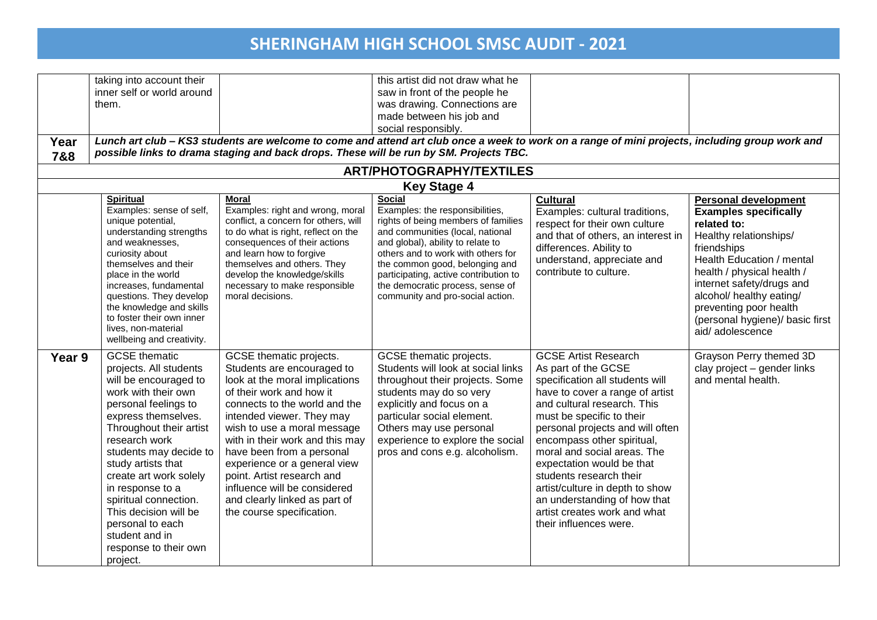| Year   | taking into account their<br>inner self or world around<br>them.                                                                                                                                                                                                                                                                                                                                                     |                                                                                                                                                                                                                                                                                                                                                                                                                                              | this artist did not draw what he<br>saw in front of the people he<br>was drawing. Connections are<br>made between his job and<br>social responsibly.                                                                                                                                                                                                      | Lunch art club - KS3 students are welcome to come and attend art club once a week to work on a range of mini projects, including group work and                                                                                                                                                                                                                                                                                                                            |                                                                                                                                                                                                                                                                                                                         |
|--------|----------------------------------------------------------------------------------------------------------------------------------------------------------------------------------------------------------------------------------------------------------------------------------------------------------------------------------------------------------------------------------------------------------------------|----------------------------------------------------------------------------------------------------------------------------------------------------------------------------------------------------------------------------------------------------------------------------------------------------------------------------------------------------------------------------------------------------------------------------------------------|-----------------------------------------------------------------------------------------------------------------------------------------------------------------------------------------------------------------------------------------------------------------------------------------------------------------------------------------------------------|----------------------------------------------------------------------------------------------------------------------------------------------------------------------------------------------------------------------------------------------------------------------------------------------------------------------------------------------------------------------------------------------------------------------------------------------------------------------------|-------------------------------------------------------------------------------------------------------------------------------------------------------------------------------------------------------------------------------------------------------------------------------------------------------------------------|
| 7&8    |                                                                                                                                                                                                                                                                                                                                                                                                                      |                                                                                                                                                                                                                                                                                                                                                                                                                                              | possible links to drama staging and back drops. These will be run by SM. Projects TBC.                                                                                                                                                                                                                                                                    |                                                                                                                                                                                                                                                                                                                                                                                                                                                                            |                                                                                                                                                                                                                                                                                                                         |
|        |                                                                                                                                                                                                                                                                                                                                                                                                                      |                                                                                                                                                                                                                                                                                                                                                                                                                                              | <b>ART/PHOTOGRAPHY/TEXTILES</b>                                                                                                                                                                                                                                                                                                                           |                                                                                                                                                                                                                                                                                                                                                                                                                                                                            |                                                                                                                                                                                                                                                                                                                         |
|        |                                                                                                                                                                                                                                                                                                                                                                                                                      |                                                                                                                                                                                                                                                                                                                                                                                                                                              | <b>Key Stage 4</b>                                                                                                                                                                                                                                                                                                                                        |                                                                                                                                                                                                                                                                                                                                                                                                                                                                            |                                                                                                                                                                                                                                                                                                                         |
|        | <b>Spiritual</b><br>Examples: sense of self,<br>unique potential,<br>understanding strengths<br>and weaknesses,<br>curiosity about<br>themselves and their<br>place in the world<br>increases, fundamental<br>questions. They develop<br>the knowledge and skills<br>to foster their own inner<br>lives, non-material<br>wellbeing and creativity.                                                                   | <b>Moral</b><br>Examples: right and wrong, moral<br>conflict, a concern for others, will<br>to do what is right, reflect on the<br>consequences of their actions<br>and learn how to forgive<br>themselves and others. They<br>develop the knowledge/skills<br>necessary to make responsible<br>moral decisions.                                                                                                                             | <b>Social</b><br>Examples: the responsibilities,<br>rights of being members of families<br>and communities (local, national<br>and global), ability to relate to<br>others and to work with others for<br>the common good, belonging and<br>participating, active contribution to<br>the democratic process, sense of<br>community and pro-social action. | <b>Cultural</b><br>Examples: cultural traditions,<br>respect for their own culture<br>and that of others, an interest in<br>differences. Ability to<br>understand, appreciate and<br>contribute to culture.                                                                                                                                                                                                                                                                | <b>Personal development</b><br><b>Examples specifically</b><br>related to:<br>Healthy relationships/<br>friendships<br>Health Education / mental<br>health / physical health /<br>internet safety/drugs and<br>alcohol/ healthy eating/<br>preventing poor health<br>(personal hygiene)/ basic first<br>aid/adolescence |
| Year 9 | <b>GCSE</b> thematic<br>projects. All students<br>will be encouraged to<br>work with their own<br>personal feelings to<br>express themselves.<br>Throughout their artist<br>research work<br>students may decide to<br>study artists that<br>create art work solely<br>in response to a<br>spiritual connection.<br>This decision will be<br>personal to each<br>student and in<br>response to their own<br>project. | GCSE thematic projects.<br>Students are encouraged to<br>look at the moral implications<br>of their work and how it<br>connects to the world and the<br>intended viewer. They may<br>wish to use a moral message<br>with in their work and this may<br>have been from a personal<br>experience or a general view<br>point. Artist research and<br>influence will be considered<br>and clearly linked as part of<br>the course specification. | GCSE thematic projects.<br>Students will look at social links<br>throughout their projects. Some<br>students may do so very<br>explicitly and focus on a<br>particular social element.<br>Others may use personal<br>experience to explore the social<br>pros and cons e.g. alcoholism.                                                                   | <b>GCSE Artist Research</b><br>As part of the GCSE<br>specification all students will<br>have to cover a range of artist<br>and cultural research. This<br>must be specific to their<br>personal projects and will often<br>encompass other spiritual,<br>moral and social areas. The<br>expectation would be that<br>students research their<br>artist/culture in depth to show<br>an understanding of how that<br>artist creates work and what<br>their influences were. | Grayson Perry themed 3D<br>clay project - gender links<br>and mental health.                                                                                                                                                                                                                                            |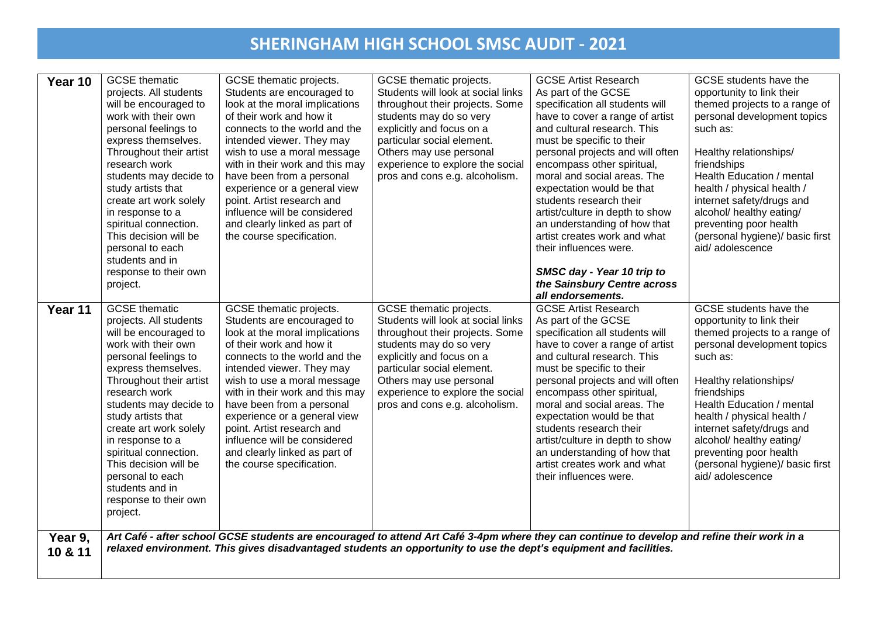| Year 10            | <b>GCSE</b> thematic<br>projects. All students<br>will be encouraged to<br>work with their own<br>personal feelings to<br>express themselves.<br>Throughout their artist<br>research work<br>students may decide to<br>study artists that<br>create art work solely<br>in response to a<br>spiritual connection.<br>This decision will be<br>personal to each<br>students and in<br>response to their own<br>project. | GCSE thematic projects.<br>Students are encouraged to<br>look at the moral implications<br>of their work and how it<br>connects to the world and the<br>intended viewer. They may<br>wish to use a moral message<br>with in their work and this may<br>have been from a personal<br>experience or a general view<br>point. Artist research and<br>influence will be considered<br>and clearly linked as part of<br>the course specification. | GCSE thematic projects.<br>Students will look at social links<br>throughout their projects. Some<br>students may do so very<br>explicitly and focus on a<br>particular social element.<br>Others may use personal<br>experience to explore the social<br>pros and cons e.g. alcoholism. | <b>GCSE Artist Research</b><br>As part of the GCSE<br>specification all students will<br>have to cover a range of artist<br>and cultural research. This<br>must be specific to their<br>personal projects and will often<br>encompass other spiritual,<br>moral and social areas. The<br>expectation would be that<br>students research their<br>artist/culture in depth to show<br>an understanding of how that<br>artist creates work and what<br>their influences were.<br>SMSC day - Year 10 trip to<br>the Sainsbury Centre across<br>all endorsements. | GCSE students have the<br>opportunity to link their<br>themed projects to a range of<br>personal development topics<br>such as:<br>Healthy relationships/<br>friendships<br>Health Education / mental<br>health / physical health /<br>internet safety/drugs and<br>alcohol/ healthy eating/<br>preventing poor health<br>(personal hygiene)/ basic first<br>aid/adolescence |
|--------------------|-----------------------------------------------------------------------------------------------------------------------------------------------------------------------------------------------------------------------------------------------------------------------------------------------------------------------------------------------------------------------------------------------------------------------|----------------------------------------------------------------------------------------------------------------------------------------------------------------------------------------------------------------------------------------------------------------------------------------------------------------------------------------------------------------------------------------------------------------------------------------------|-----------------------------------------------------------------------------------------------------------------------------------------------------------------------------------------------------------------------------------------------------------------------------------------|--------------------------------------------------------------------------------------------------------------------------------------------------------------------------------------------------------------------------------------------------------------------------------------------------------------------------------------------------------------------------------------------------------------------------------------------------------------------------------------------------------------------------------------------------------------|------------------------------------------------------------------------------------------------------------------------------------------------------------------------------------------------------------------------------------------------------------------------------------------------------------------------------------------------------------------------------|
| Year 11            | <b>GCSE</b> thematic<br>projects. All students<br>will be encouraged to<br>work with their own<br>personal feelings to<br>express themselves.<br>Throughout their artist<br>research work<br>students may decide to<br>study artists that<br>create art work solely<br>in response to a<br>spiritual connection.<br>This decision will be<br>personal to each<br>students and in<br>response to their own<br>project. | GCSE thematic projects.<br>Students are encouraged to<br>look at the moral implications<br>of their work and how it<br>connects to the world and the<br>intended viewer. They may<br>wish to use a moral message<br>with in their work and this may<br>have been from a personal<br>experience or a general view<br>point. Artist research and<br>influence will be considered<br>and clearly linked as part of<br>the course specification. | GCSE thematic projects.<br>Students will look at social links<br>throughout their projects. Some<br>students may do so very<br>explicitly and focus on a<br>particular social element.<br>Others may use personal<br>experience to explore the social<br>pros and cons e.g. alcoholism. | <b>GCSE Artist Research</b><br>As part of the GCSE<br>specification all students will<br>have to cover a range of artist<br>and cultural research. This<br>must be specific to their<br>personal projects and will often<br>encompass other spiritual,<br>moral and social areas. The<br>expectation would be that<br>students research their<br>artist/culture in depth to show<br>an understanding of how that<br>artist creates work and what<br>their influences were.                                                                                   | GCSE students have the<br>opportunity to link their<br>themed projects to a range of<br>personal development topics<br>such as:<br>Healthy relationships/<br>friendships<br>Health Education / mental<br>health / physical health /<br>internet safety/drugs and<br>alcohol/ healthy eating/<br>preventing poor health<br>(personal hygiene)/ basic first<br>aid/adolescence |
| Year 9,<br>10 & 11 |                                                                                                                                                                                                                                                                                                                                                                                                                       |                                                                                                                                                                                                                                                                                                                                                                                                                                              | Art Café - after school GCSE students are encouraged to attend Art Café 3-4pm where they can continue to develop and refine their work in a<br>relaxed environment. This gives disadvantaged students an opportunity to use the dept's equipment and facilities.                        |                                                                                                                                                                                                                                                                                                                                                                                                                                                                                                                                                              |                                                                                                                                                                                                                                                                                                                                                                              |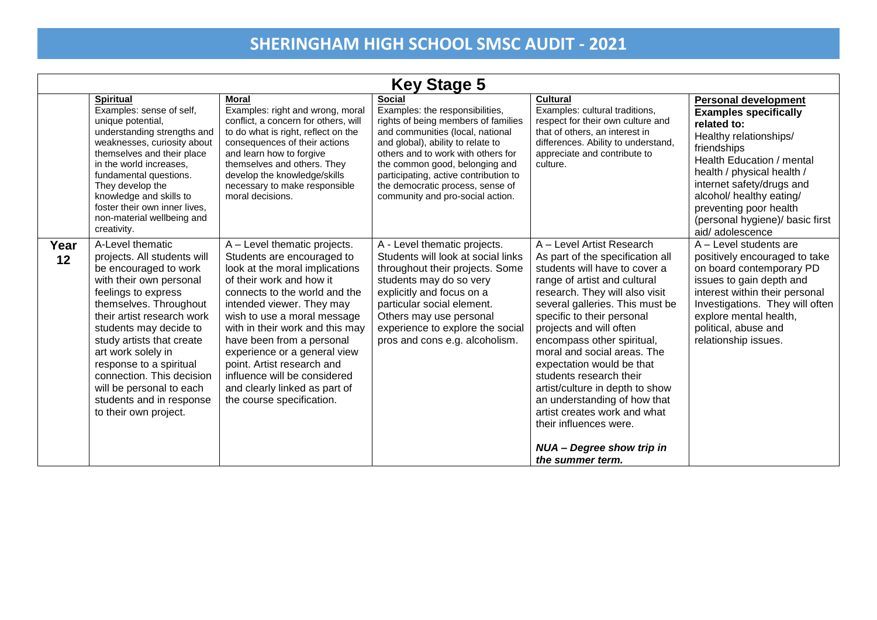| <b>Key Stage 5</b> |                                                                                                                                                                                                                                                                                                                                                                                                          |                                                                                                                                                                                                                                                                                                                                                                                                                                                   |                                                                                                                                                                                                                                                                                                                                                           |                                                                                                                                                                                                                                                                                                                                                                                                                                                                                                                                                                        |                                                                                                                                                                                                                                                                                                                         |
|--------------------|----------------------------------------------------------------------------------------------------------------------------------------------------------------------------------------------------------------------------------------------------------------------------------------------------------------------------------------------------------------------------------------------------------|---------------------------------------------------------------------------------------------------------------------------------------------------------------------------------------------------------------------------------------------------------------------------------------------------------------------------------------------------------------------------------------------------------------------------------------------------|-----------------------------------------------------------------------------------------------------------------------------------------------------------------------------------------------------------------------------------------------------------------------------------------------------------------------------------------------------------|------------------------------------------------------------------------------------------------------------------------------------------------------------------------------------------------------------------------------------------------------------------------------------------------------------------------------------------------------------------------------------------------------------------------------------------------------------------------------------------------------------------------------------------------------------------------|-------------------------------------------------------------------------------------------------------------------------------------------------------------------------------------------------------------------------------------------------------------------------------------------------------------------------|
|                    | <b>Spiritual</b><br>Examples: sense of self,<br>unique potential,<br>understanding strengths and<br>weaknesses, curiosity about<br>themselves and their place<br>in the world increases.<br>fundamental questions.<br>They develop the<br>knowledge and skills to<br>foster their own inner lives,<br>non-material wellbeing and<br>creativity.                                                          | <b>Moral</b><br>Examples: right and wrong, moral<br>conflict, a concern for others, will<br>to do what is right, reflect on the<br>consequences of their actions<br>and learn how to forgive<br>themselves and others. They<br>develop the knowledge/skills<br>necessary to make responsible<br>moral decisions.                                                                                                                                  | <b>Social</b><br>Examples: the responsibilities,<br>rights of being members of families<br>and communities (local, national<br>and global), ability to relate to<br>others and to work with others for<br>the common good, belonging and<br>participating, active contribution to<br>the democratic process, sense of<br>community and pro-social action. | <b>Cultural</b><br>Examples: cultural traditions,<br>respect for their own culture and<br>that of others, an interest in<br>differences. Ability to understand,<br>appreciate and contribute to<br>culture.                                                                                                                                                                                                                                                                                                                                                            | <b>Personal development</b><br><b>Examples specifically</b><br>related to:<br>Healthy relationships/<br>friendships<br>Health Education / mental<br>health / physical health /<br>internet safety/drugs and<br>alcohol/ healthy eating/<br>preventing poor health<br>(personal hygiene)/ basic first<br>aid/adolescence |
| Year<br>12         | A-Level thematic<br>projects. All students will<br>be encouraged to work<br>with their own personal<br>feelings to express<br>themselves. Throughout<br>their artist research work<br>students may decide to<br>study artists that create<br>art work solely in<br>response to a spiritual<br>connection. This decision<br>will be personal to each<br>students and in response<br>to their own project. | A - Level thematic projects.<br>Students are encouraged to<br>look at the moral implications<br>of their work and how it<br>connects to the world and the<br>intended viewer. They may<br>wish to use a moral message<br>with in their work and this may<br>have been from a personal<br>experience or a general view<br>point. Artist research and<br>influence will be considered<br>and clearly linked as part of<br>the course specification. | A - Level thematic projects.<br>Students will look at social links<br>throughout their projects. Some<br>students may do so very<br>explicitly and focus on a<br>particular social element.<br>Others may use personal<br>experience to explore the social<br>pros and cons e.g. alcoholism.                                                              | A - Level Artist Research<br>As part of the specification all<br>students will have to cover a<br>range of artist and cultural<br>research. They will also visit<br>several galleries. This must be<br>specific to their personal<br>projects and will often<br>encompass other spiritual,<br>moral and social areas. The<br>expectation would be that<br>students research their<br>artist/culture in depth to show<br>an understanding of how that<br>artist creates work and what<br>their influences were.<br><b>NUA - Degree show trip in</b><br>the summer term. | A - Level students are<br>positively encouraged to take<br>on board contemporary PD<br>issues to gain depth and<br>interest within their personal<br>Investigations. They will often<br>explore mental health,<br>political, abuse and<br>relationship issues.                                                          |